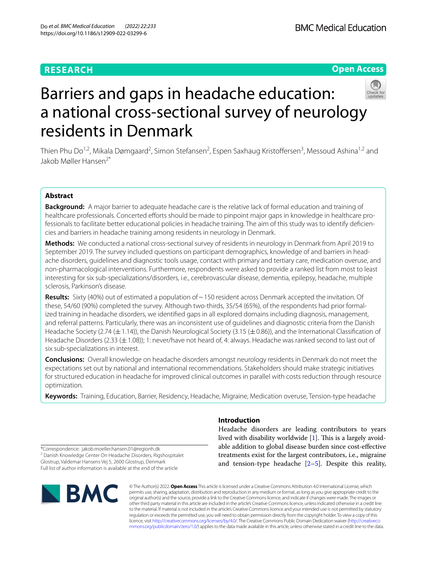# **RESEARCH**





# Barriers and gaps in headache education: a national cross-sectional survey of neurology residents in Denmark

Thien Phu Do<sup>1,2</sup>, Mikala Dømgaard<sup>2</sup>, Simon Stefansen<sup>2</sup>, Espen Saxhaug Kristoffersen<sup>3</sup>, Messoud Ashina<sup>1,2</sup> and Jakob Møller Hansen2\*

# **Abstract**

**Background:** A major barrier to adequate headache care is the relative lack of formal education and training of healthcare professionals. Concerted efforts should be made to pinpoint major gaps in knowledge in healthcare professionals to facilitate better educational policies in headache training. The aim of this study was to identify defciencies and barriers in headache training among residents in neurology in Denmark.

**Methods:** We conducted a national cross-sectional survey of residents in neurology in Denmark from April 2019 to September 2019. The survey included questions on participant demographics, knowledge of and barriers in headache disorders, guidelines and diagnostic tools usage, contact with primary and tertiary care, medication overuse, and non-pharmacological interventions. Furthermore, respondents were asked to provide a ranked list from most to least interesting for six sub-specializations/disorders, i.e., cerebrovascular disease, dementia, epilepsy, headache, multiple sclerosis, Parkinson's disease.

**Results:** Sixty (40%) out of estimated a population of~150 resident across Denmark accepted the invitation. Of these, 54/60 (90%) completed the survey. Although two-thirds, 35/54 (65%), of the respondents had prior formalized training in headache disorders, we identifed gaps in all explored domains including diagnosis, management, and referral patterns. Particularly, there was an inconsistent use of guidelines and diagnostic criteria from the Danish Headache Society (2.74 ( $\pm$  1.14)), the Danish Neurological Society (3.15 ( $\pm$  0.86)), and the International Classification of Headache Disorders (2.33 (±1.08)); 1: never/have not heard of, 4: always. Headache was ranked second to last out of six sub-specializations in interest.

**Conclusions:** Overall knowledge on headache disorders amongst neurology residents in Denmark do not meet the expectations set out by national and international recommendations. Stakeholders should make strategic initiatives for structured education in headache for improved clinical outcomes in parallel with costs reduction through resource optimization.

**Keywords:** Training, Education, Barrier, Residency, Headache, Migraine, Medication overuse, Tension-type headache

# **Introduction**

Headache disorders are leading contributors to years lived with disability worldwide  $[1]$ . This is a largely avoidable addition to global disease burden since cost-efective treatments exist for the largest contributors, i.e., migraine and tension-type headache [\[2](#page-7-1)[–5](#page-8-0)]. Despite this reality,

\*Correspondence: jakob.moeller.hansen.01@regionh.dk <sup>2</sup> Danish Knowledge Center On Headache Disorders, Rigshospitalet Glostrup, Valdemar Hansens Vej 5, 2600 Glostrup, Denmark Full list of author information is available at the end of the article



© The Author(s) 2022. **Open Access** This article is licensed under a Creative Commons Attribution 4.0 International License, which permits use, sharing, adaptation, distribution and reproduction in any medium or format, as long as you give appropriate credit to the original author(s) and the source, provide a link to the Creative Commons licence, and indicate if changes were made. The images or other third party material in this article are included in the article's Creative Commons licence, unless indicated otherwise in a credit line to the material. If material is not included in the article's Creative Commons licence and your intended use is not permitted by statutory regulation or exceeds the permitted use, you will need to obtain permission directly from the copyright holder. To view a copy of this licence, visit [http://creativecommons.org/licenses/by/4.0/.](http://creativecommons.org/licenses/by/4.0/) The Creative Commons Public Domain Dedication waiver ([http://creativeco](http://creativecommons.org/publicdomain/zero/1.0/) [mmons.org/publicdomain/zero/1.0/](http://creativecommons.org/publicdomain/zero/1.0/)) applies to the data made available in this article, unless otherwise stated in a credit line to the data.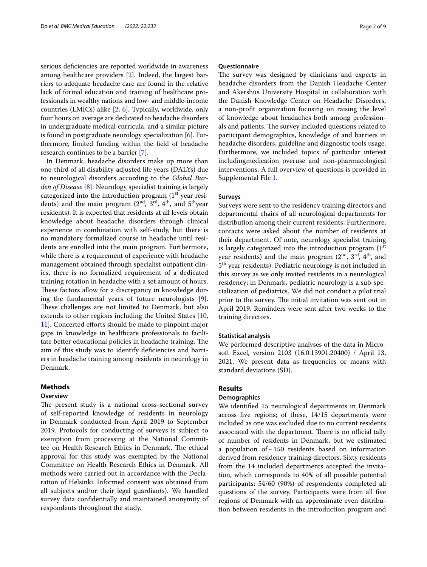serious deficiencies are reported worldwide in awareness among healthcare providers [\[2\]](#page-7-1). Indeed, the largest barriers to adequate headache care are found in the relative lack of formal education and training of healthcare professionals in wealthy nations and low- and middle-income countries (LMICs) alike [\[2](#page-7-1), [6](#page-8-1)]. Typically, worldwide, only four hours on average are dedicated to headache disorders in undergraduate medical curricula, and a similar picture is found in postgraduate neurology specialization [[6\]](#page-8-1). Furthermore, limited funding within the feld of headache research continues to be a barrier [\[7\]](#page-8-2).

In Denmark, headache disorders make up more than one-third of all disability-adjusted life years (DALYs) due to neurological disorders according to the *Global Burden of Disease* [[8\]](#page-8-3). Neurology specialist training is largely categorized into the introduction program  $(1<sup>st</sup>$  year residents) and the main program  $(2<sup>nd</sup>, 3<sup>rd</sup>, 4<sup>th</sup>)$ , and  $5<sup>th</sup>$ year residents). It is expected that residents at all levels obtain knowledge about headache disorders through clinical experience in combination with self-study, but there is no mandatory formalized course in headache until residents are enrolled into the main program. Furthermore, while there is a requirement of experience with headache management obtained through specialist outpatient clinics, there is no formalized requirement of a dedicated training rotation in headache with a set amount of hours. These factors allow for a discrepancy in knowledge during the fundamental years of future neurologists [\[9](#page-8-4)]. These challenges are not limited to Denmark, but also extends to other regions including the United States [\[10](#page-8-5), [11\]](#page-8-6). Concerted efforts should be made to pinpoint major gaps in knowledge in healthcare professionals to facilitate better educational policies in headache training. The aim of this study was to identify defciencies and barriers in headache training among residents in neurology in Denmark.

## **Methods**

# **Overview**

The present study is a national cross-sectional survey of self-reported knowledge of residents in neurology in Denmark conducted from April 2019 to September 2019. Protocols for conducting of surveys is subject to exemption from processing at the National Committee on Health Research Ethics in Denmark. The ethical approval for this study was exempted by the National Committee on Health Research Ethics in Denmark. All methods were carried out in accordance with the Declaration of Helsinki. Informed consent was obtained from all subjects and/or their legal guardian(s). We handled survey data confdentially and maintained anonymity of respondents throughout the study.

#### **Questionnaire**

The survey was designed by clinicians and experts in headache disorders from the Danish Headache Center and Akershus University Hospital in collaboration with the Danish Knowledge Center on Headache Disorders, a non-proft organization focusing on raising the level of knowledge about headaches both among professionals and patients. The survey included questions related to participant demographics, knowledge of and barriers in headache disorders, guideline and diagnostic tools usage. Furthermore, we included topics of particular interest includingmedication overuse and non-pharmacological interventions. A full overview of questions is provided in Supplemental File [1](#page-7-2).

#### **Surveys**

Surveys were sent to the residency training directors and departmental chairs of all neurological departments for distribution among their current residents. Furthermore, contacts were asked about the number of residents at their department. Of note, neurology specialist training is largely categorized into the introduction program  $(1<sup>st</sup>)$ year residents) and the main program  $(2<sup>nd</sup>, 3<sup>rd</sup>, 4<sup>th</sup>)$ , and 5th year residents). Pediatric neurology is not included in this survey as we only invited residents in a neurological residency; in Denmark, pediatric neurology is a sub-specialization of pediatrics. We did not conduct a pilot trial prior to the survey. The initial invitation was sent out in April 2019. Reminders were sent after two weeks to the training directors.

#### **Statistical analysis**

We performed descriptive analyses of the data in Microsoft Excel, version 2103 (16.0.13901.20400) / April 13, 2021. We present data as frequencies or means with standard deviations (SD).

#### **Results**

#### **Demographics**

We identifed 15 neurological departments in Denmark across fve regions; of these, 14/15 departments were included as one was excluded due to no current residents associated with the department. There is no official tally of number of residents in Denmark, but we estimated a population of $\sim$ 150 residents based on information derived from residency training directors. Sixty residents from the 14 included departments accepted the invitation, which corresponds to 40% of all possible potential participants; 54/60 (90%) of respondents completed all questions of the survey. Participants were from all fve regions of Denmark with an approximate even distribution between residents in the introduction program and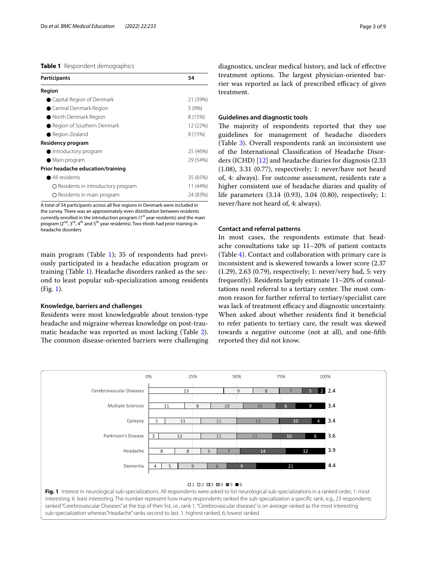# <span id="page-2-0"></span>**Table 1** Respondent demographics

| <b>Participants</b>                 | 54       |
|-------------------------------------|----------|
| Region                              |          |
| ● Capital Region of Denmark         | 21 (39%) |
| ● Central Denmark Region            | 5 (9%)   |
| $\bullet$ North Denmark Region      | 8 (15%)  |
| Region of Southern Denmark          | 12 (22%) |
| $\bullet$ Region Zealand            | 8 (15%)  |
| Residency program                   |          |
| • Introductory program              | 25 (46%) |
| $\bullet$ Main program              | 29 (54%) |
| Prior headache education/training   |          |
| • All residents                     | 35 (65%) |
| O Residents in introductory program | 11 (44%) |
| O Residents in main program         | 24 (83%) |

A total of 54 participants across all fve regions in Denmark were included in the survey. There was an approximately even distribution between residents currently enrolled in the introduction program (1<sup>st</sup> year residents) and the main program (2<sup>nd</sup>, 3<sup>rd</sup>, 4<sup>th</sup> and 5<sup>th</sup> year residents). Two-thirds had prior training in headache disorders

main program (Table [1](#page-2-0)); 35 of respondents had previously participated in a headache education program or training (Table [1\)](#page-2-0). Headache disorders ranked as the second to least popular sub-specialization among residents (Fig. [1\)](#page-2-1).

## **Knowledge, barriers and challenges**

Residents were most knowledgeable about tension-type headache and migraine whereas knowledge on post-traumatic headache was reported as most lacking (Table [2](#page-3-0)). The common disease-oriented barriers were challenging

diagnostics, unclear medical history, and lack of efective treatment options. The largest physician-oriented barrier was reported as lack of prescribed efficacy of given treatment.

# **Guidelines and diagnostic tools**

The majority of respondents reported that they use guidelines for management of headache disorders (Table [3\)](#page-3-1). Overall respondents rank an inconsistent use of the International Classifcation of Headache Disorders (ICHD) [\[12\]](#page-8-7) and headache diaries for diagnosis (2.33 (1.08), 3.31 (0.77), respectively; 1: never/have not heard of, 4: always). For outcome assessment, residents rate a higher consistent use of headache diaries and quality of life parameters (3.14 (0.93), 3.04 (0.80), respectively; 1: never/have not heard of, 4: always).

#### **Contact and referral patterns**

In most cases, the respondents estimate that headache consultations take up 11–20% of patient contacts (Table [4\)](#page-4-0). Contact and collaboration with primary care is inconsistent and is skewered towards a lower score (2.37 (1.29), 2.63 (0.79), respectively; 1: never/very bad, 5: very frequently). Residents largely estimate 11–20% of consultations need referral to a tertiary center. The most common reason for further referral to tertiary/specialist care was lack of treatment efficacy and diagnostic uncertainty. When asked about whether residents fnd it benefcial to refer patients to tertiary care, the result was skewed towards a negative outcome (not at all), and one-ffth reported they did not know.

<span id="page-2-1"></span>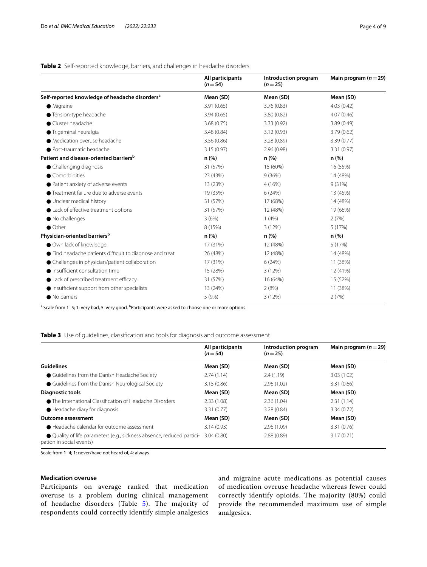# <span id="page-3-0"></span>**Table 2** Self-reported knowledge, barriers, and challenges in headache disorders

|                                                            | All participants<br>$(n=54)$ | Introduction program<br>$(n=25)$ | Main program ( $n = 29$ ) |
|------------------------------------------------------------|------------------------------|----------------------------------|---------------------------|
| Self-reported knowledge of headache disorders <sup>a</sup> | Mean (SD)                    | Mean (SD)                        | Mean (SD)                 |
| $\bullet$ Migraine                                         | 3.91(0.65)                   | 3.76(0.83)                       | 4.03(0.42)                |
| ● Tension-type headache                                    | 3.94(0.65)                   | 3.80(0.82)                       | 4.07(0.46)                |
| • Cluster headache                                         | 3.68(0.75)                   | 3.33(0.92)                       | 3.89(0.49)                |
| ● Trigeminal neuralgia                                     | 3.48 (0.84)                  | 3.12(0.93)                       | 3.79(0.62)                |
| • Medication overuse headache                              | 3.56(0.86)                   | 3.28 (0.89)                      | 3.39(0.77)                |
| • Post-traumatic headache                                  | 3.15(0.97)                   | 2.96(0.98)                       | 3.31(0.97)                |
| Patient and disease-oriented barriers <sup>b</sup>         | n (%)                        | n (%)                            | n(%)                      |
| • Challenging diagnosis                                    | 31 (57%)                     | 15 (60%)                         | 16 (55%)                  |
| Comorbidities                                              | 23 (43%)                     | 9(36%)                           | 14 (48%)                  |
| ● Patient anxiety of adverse events                        | 13 (23%)                     | 4 (16%)                          | 9(31%)                    |
| ● Treatment failure due to adverse events                  | 19 (35%)                     | 6(24%)                           | 13 (45%)                  |
| ● Unclear medical history                                  | 31 (57%)                     | 17 (68%)                         | 14 (48%)                  |
| • Lack of effective treatment options                      | 31 (57%)                     | 12 (48%)                         | 19 (66%)                  |
| $\bullet$ No challenges                                    | 3(6%)                        | 1(4%)                            | 2(7%)                     |
| $\bullet$ Other                                            | 8 (15%)                      | 3(12%)                           | 5(17%)                    |
| Physician-oriented barriers <sup>b</sup>                   | n(%)                         | n(%)                             | n(%)                      |
| Own lack of knowledge                                      | 17 (31%)                     | 12 (48%)                         | 5 (17%)                   |
| • Find headache patients difficult to diagnose and treat   | 26 (48%)                     | 12 (48%)                         | 14 (48%)                  |
| ● Challenges in physician/patient collaboration            | 17 (31%)                     | 6(24%)                           | 11 (38%)                  |
| • Insufficient consultation time                           | 15 (28%)                     | 3(12%)                           | 12 (41%)                  |
| • Lack of prescribed treatment efficacy                    | 31 (57%)                     | 16 (64%)                         | 15 (52%)                  |
| • Insufficient support from other specialists              | 13 (24%)                     | 2(8%)                            | 11 (38%)                  |
| No barriers                                                | 5 (9%)                       | 3(12%)                           | 2(7%)                     |

<sup>a</sup> Scale from 1–5; 1: very bad, 5: very good. <sup>b</sup>Participants were asked to choose one or more options

# <span id="page-3-1"></span>**Table 3** Use of guidelines, classifcation and tools for diagnosis and outcome assessment

|                                                                                                    | All participants<br>$(n=54)$ | Introduction program<br>$(n=25)$ | Main program $(n=29)$ |
|----------------------------------------------------------------------------------------------------|------------------------------|----------------------------------|-----------------------|
| <b>Guidelines</b>                                                                                  | Mean (SD)                    | Mean (SD)                        | Mean (SD)             |
| • Guidelines from the Danish Headache Society                                                      | 2.74(1.14)                   | 2.4(1.19)                        | 3.03(1.02)            |
| • Guidelines from the Danish Neurological Society                                                  | 3.15(0.86)                   | 2.96(1.02)                       | 3.31(0.66)            |
| Diagnostic tools                                                                                   | Mean (SD)                    | Mean (SD)                        | Mean (SD)             |
| • The International Classification of Headache Disorders                                           | 2.33(1.08)                   | 2.36(1.04)                       | 2.31(1.14)            |
| Headache diary for diagnosis                                                                       | 3.31(0.77)                   | 3.28(0.84)                       | 3.34(0.72)            |
| Outcome assessment                                                                                 | Mean (SD)                    | Mean (SD)                        | Mean (SD)             |
| ● Headache calendar for outcome assessment                                                         | 3.14(0.93)                   | 2.96(1.09)                       | 3.31(0.76)            |
| ● Quality of life parameters (e.g., sickness absence, reduced partici-<br>pation in social events) | 3.04(0.80)                   | 2.88(0.89)                       | 3.17(0.71)            |

Scale from 1–4; 1: never/have not heard of, 4: always

# **Medication overuse**

Participants on average ranked that medication overuse is a problem during clinical management of headache disorders (Table [5\)](#page-5-0). The majority of respondents could correctly identify simple analgesics

and migraine acute medications as potential causes of medication overuse headache whereas fewer could correctly identify opioids. The majority (80%) could provide the recommended maximum use of simple analgesics.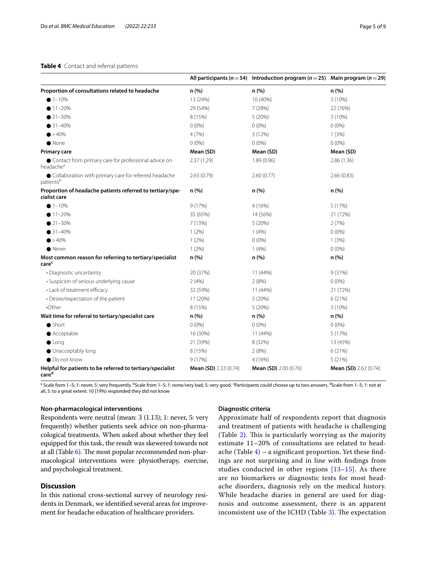# <span id="page-4-0"></span>**Table 4** Contact and referral patterns

|                                                                                 |                       | All participants ( $n = 54$ ) Introduction program ( $n = 25$ ) Main program ( $n = 29$ ) |                       |
|---------------------------------------------------------------------------------|-----------------------|-------------------------------------------------------------------------------------------|-----------------------|
| Proportion of consultations related to headache                                 | n (%)                 | n (%)                                                                                     | n (%)                 |
| $\bullet$ 1-10%                                                                 | 13 (24%)              | 10 (40%)                                                                                  | 3(10%)                |
| $11 - 20%$                                                                      | 29 (54%)              | 7(28%)                                                                                    | 22 (76%)              |
| $21 - 30%$                                                                      | 8 (15%)               | 5(20%)                                                                                    | 3(10%)                |
| $\bullet$ 31-40%                                                                | $0(0\%)$              | $0(0\%)$                                                                                  | $0(0\%)$              |
| $\bullet$ > 40%                                                                 | 4(7%)                 | 3(12%)                                                                                    | 1(3%)                 |
| $\bullet$ None                                                                  | $0(0\%)$              | $0(0\%)$                                                                                  | $0(0\%)$              |
| <b>Primary care</b>                                                             | Mean (SD)             | Mean (SD)                                                                                 | Mean (SD)             |
| ● Contact from primary care for professional advice on<br>headache <sup>a</sup> | 2.37(1.29)            | 1.89(0.96)                                                                                | 2.86(1.36)            |
| Collaboration with primary care for referred headache<br>patientsb              | 2.63(0.79)            | 2.60(0.77)                                                                                | 2.66(0.83)            |
| Proportion of headache patients referred to tertiary/spe-<br>cialist care       | n(%)                  | n(%)                                                                                      | n (%)                 |
| $1 - 10%$                                                                       | 9(17%)                | 4 (16%)                                                                                   | 5(17%)                |
| $11 - 20%$                                                                      | 35 (65%)              | 14 (56%)                                                                                  | 21 (72%)              |
| $21 - 30%$                                                                      | 7 (13%)               | 5 (20%)                                                                                   | 2(7%)                 |
| $\bullet$ 31-40%                                                                | 1(2%)                 | 1(4%)                                                                                     | $0(0\%)$              |
| $\bullet$ > 40%                                                                 | 1(2%)                 | $0(0\%)$                                                                                  | 1(3%)                 |
| $\bullet$ Never                                                                 | 1(2%)                 | 1(4%)                                                                                     | $0(0\%)$              |
| Most common reason for referring to tertiary/specialist<br>carec                | n (%)                 | n (%)                                                                                     | n (%)                 |
| • Diagnostic uncertainty                                                        | 20 (37%)              | 11 (44%)                                                                                  | 9(31%)                |
| · Suspicion of serious underlying cause                                         | 2(4%)                 | 2(8%)                                                                                     | $0(0\%)$              |
| • Lack of treatment efficacy                                                    | 32 (59%)              | 11 (44%)                                                                                  | 21 (72%)              |
| · Desire/expectation of the patient                                             | 11 (20%)              | 5(20%)                                                                                    | 6(21%)                |
| •Other                                                                          | 8 (15%)               | 5(20%)                                                                                    | 3(10%)                |
| Wait time for referral to tertiary/specialist care                              | n (%)                 | n (%)                                                                                     | n (%)                 |
| $\bullet$ Short                                                                 | $0(0\%)$              | $0(0\%)$                                                                                  | $0(0\%)$              |
| ● Acceptable                                                                    | 16 (30%)              | 11 (44%)                                                                                  | 5(17%)                |
| $\bullet$ Long                                                                  | 21 (39%)              | 8 (32%)                                                                                   | 13 (45%)              |
| <b>Unacceptably long</b>                                                        | 8 (15%)               | 2(8%)                                                                                     | 6(21%)                |
| • Do not know                                                                   | 9(17%)                | 4 (16%)                                                                                   | 5(21%)                |
| Helpful for patients to be referred to tertiary/specialist<br>care <sup>d</sup> | Mean (SD) 2.33 (0.74) | Mean (SD) 2.00 (0.76)                                                                     | Mean (SD) 2.62 (0.74) |

ª Scale from 1–5; 1: never, 5: very frequently. <sup>b</sup>Scale from 1–5; 1: none/very bad, 5: very good. <sup>c</sup>Participants could choose up to two answers. <sup>d</sup>Scale from 1–5; 1: not at all, 5: to a great extent. 10 (19%) responded they did not know

## **Non-pharmacological interventions**

Respondents were neutral (mean: 3 (1.13); 1: never, 5: very frequently) whether patients seek advice on non-pharmacological treatments. When asked about whether they feel equipped for this task, the result was skewered towards not at all (Table  $6$ ). The most popular recommended non-pharmacological interventions were physiotherapy, exercise, and psychological treatment.

# **Discussion**

In this national cross-sectional survey of neurology residents in Denmark, we identifed several areas for improvement for headache education of healthcare providers.

# **Diagnostic criteria**

Approximate half of respondents report that diagnosis and treatment of patients with headache is challenging (Table  $2$ ). This is particularly worrying as the majority estimate 11–20% of consultations are related to headache (Table  $4$ ) – a significant proportion. Yet these findings are not surprising and in line with fndings from studies conducted in other regions [\[13](#page-8-8)[–15](#page-8-9)]. As there are no biomarkers or diagnostic tests for most headache disorders, diagnosis rely on the medical history. While headache diaries in general are used for diagnosis and outcome assessment, there is an apparent inconsistent use of the ICHD (Table [3](#page-3-1)). The expectation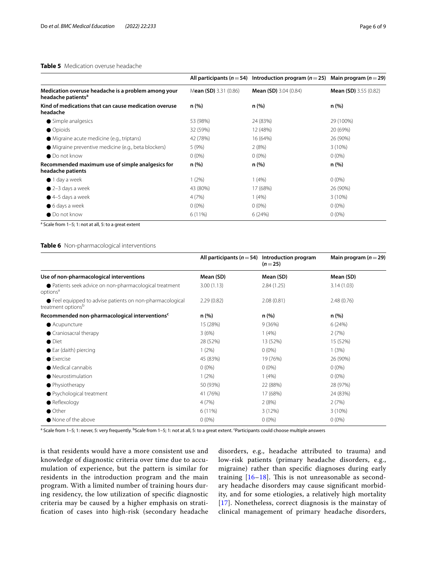# <span id="page-5-0"></span>**Table 5** Medication overuse headache

|                                                                                       |                       | All participants ( $n = 54$ ) Introduction program ( $n = 25$ ) Main program ( $n = 29$ ) |                               |
|---------------------------------------------------------------------------------------|-----------------------|-------------------------------------------------------------------------------------------|-------------------------------|
| Medication overuse headache is a problem among your<br>headache patients <sup>a</sup> | Mean (SD) 3.31 (0.86) | <b>Mean (SD)</b> $3.04$ (0.84)                                                            | <b>Mean (SD)</b> $3.55(0.82)$ |
| Kind of medications that can cause medication overuse<br>headache                     | n (%)                 | n (%)                                                                                     | n (%)                         |
| • Simple analgesics                                                                   | 53 (98%)              | 24 (83%)                                                                                  | 29 (100%)                     |
| • Opioids                                                                             | 32 (59%)              | 12 (48%)                                                                                  | 20 (69%)                      |
| • Migraine acute medicine (e.g., triptans)                                            | 42 (78%)              | 16 (64%)                                                                                  | 26 (90%)                      |
| • Migraine preventive medicine (e.g., beta blockers)                                  | 5(9%)                 | 2(8%)                                                                                     | $3(10\%)$                     |
| • Do not know                                                                         | $0(0\%)$              | $0(0\%)$                                                                                  | $0(0\%)$                      |
| Recommended maximum use of simple analgesics for<br>headache patients                 | n (%)                 | n (%)                                                                                     | n (%)                         |
| $\bullet$ 1 day a week                                                                | 1(2%)                 | 1(4%)                                                                                     | $0(0\%)$                      |
| $\bullet$ 2-3 days a week                                                             | 43 (80%)              | 17 (68%)                                                                                  | 26 (90%)                      |
| $\bullet$ 4-5 days a week                                                             | 4 (7%)                | 1(4%)                                                                                     | $3(10\%)$                     |
| $\bullet$ 6 days a week                                                               | $0(0\%)$              | $0(0\%)$                                                                                  | $0(0\%)$                      |
| ● Do not know                                                                         | $6(11\%)$             | 6(24%)                                                                                    | $0(0\%)$                      |

a Scale from 1-5; 1: not at all, 5: to a great extent

# <span id="page-5-1"></span>**Table 6** Non-pharmacological interventions

|                                                                                             | All participants ( $n = 54$ ) Introduction program | $(n=25)$   | Main program $(n=29)$ |
|---------------------------------------------------------------------------------------------|----------------------------------------------------|------------|-----------------------|
| Use of non-pharmacological interventions                                                    | Mean (SD)                                          | Mean (SD)  | Mean (SD)             |
| ● Patients seek advice on non-pharmacological treatment<br>options <sup>a</sup>             | 3.00(1.13)                                         | 2.84(1.25) | 3.14(1.03)            |
| ● Feel equipped to advise patients on non-pharmacological<br>treatment options <sup>b</sup> | 2.29(0.82)                                         | 2.08(0.81) | 2.48(0.76)            |
| Recommended non-pharmacological interventions <sup>c</sup>                                  | n (%)                                              | n (%)      | n (%)                 |
| $\bullet$ Acupuncture                                                                       | 15 (28%)                                           | 9(36%)     | 6(24%)                |
| • Craniosacral therapy                                                                      | 3(6%)                                              | 1(4%)      | 2(7%)                 |
| $\bullet$ Diet                                                                              | 28 (52%)                                           | 13 (52%)   | 15 (52%)              |
| $\bullet$ Ear (daith) piercing                                                              | 1(2%)                                              | $0(0\%)$   | 1(3%)                 |
| $\bullet$ Exercise                                                                          | 45 (83%)                                           | 19 (76%)   | 26 (90%)              |
| • Medical cannabis                                                                          | $0(0\%)$                                           | $0(0\%)$   | $0(0\%)$              |
| • Neurostimulation                                                                          | 1(2%)                                              | 1(4%)      | $0(0\%)$              |
| • Physiotherapy                                                                             | 50 (93%)                                           | 22 (88%)   | 28 (97%)              |
| ● Psychological treatment                                                                   | 41 (76%)                                           | 17 (68%)   | 24 (83%)              |
| $\bullet$ Reflexology                                                                       | 4(7%)                                              | 2(8%)      | 2(7%)                 |
| $\bullet$ Other                                                                             | $6(11\%)$                                          | 3(12%)     | $3(10\%)$             |
| • None of the above                                                                         | $0(0\%)$                                           | $0(0\%)$   | $0(0\%)$              |

ª Scale from 1–5; 1: never, 5: very frequently. <sup>b</sup>Scale from 1–5; 1: not at all, 5: to a great extent. <sup>c</sup>Participants could choose multiple answers

is that residents would have a more consistent use and knowledge of diagnostic criteria over time due to accumulation of experience, but the pattern is similar for residents in the introduction program and the main program. With a limited number of training hours during residency, the low utilization of specifc diagnostic criteria may be caused by a higher emphasis on stratifcation of cases into high-risk (secondary headache

disorders, e.g., headache attributed to trauma) and low-risk patients (primary headache disorders, e.g., migraine) rather than specifc diagnoses during early training  $[16–18]$  $[16–18]$  $[16–18]$ . This is not unreasonable as secondary headache disorders may cause signifcant morbidity, and for some etiologies, a relatively high mortality [[17](#page-8-12)]. Nonetheless, correct diagnosis is the mainstay of clinical management of primary headache disorders,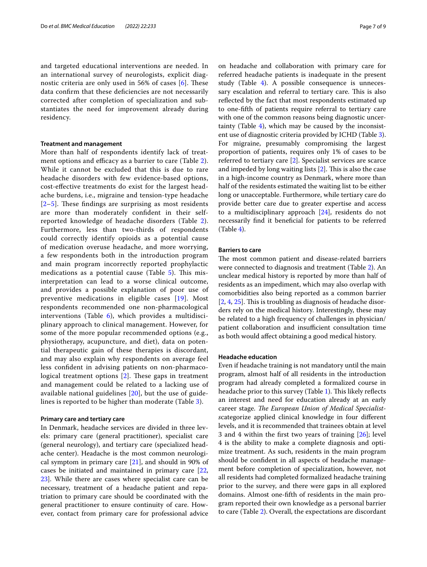and targeted educational interventions are needed. In an international survey of neurologists, explicit diagnostic criteria are only used in  $56\%$  of cases  $[6]$  $[6]$ . These data confrm that these defciencies are not necessarily corrected after completion of specialization and substantiates the need for improvement already during residency.

#### **Treatment and management**

More than half of respondents identify lack of treat-ment options and efficacy as a barrier to care (Table [2\)](#page-3-0). While it cannot be excluded that this is due to rare headache disorders with few evidence-based options, cost-efective treatments do exist for the largest headache burdens, i.e., migraine and tension-type headache  $[2-5]$  $[2-5]$  $[2-5]$ . These findings are surprising as most residents are more than moderately confdent in their selfreported knowledge of headache disorders (Table [2\)](#page-3-0). Furthermore, less than two-thirds of respondents could correctly identify opioids as a potential cause of medication overuse headache, and more worrying, a few respondents both in the introduction program and main program incorrectly reported prophylactic medications as a potential cause (Table  $5$ ). This misinterpretation can lead to a worse clinical outcome, and provides a possible explanation of poor use of preventive medications in eligible cases [[19\]](#page-8-13). Most respondents recommended one non-pharmacological interventions (Table [6\)](#page-5-1), which provides a multidisciplinary approach to clinical management. However, for some of the more popular recommended options (e.g., physiotherapy, acupuncture, and diet), data on potential therapeutic gain of these therapies is discordant, and may also explain why respondents on average feel less confdent in advising patients on non-pharmacological treatment options  $[2]$  $[2]$  $[2]$ . These gaps in treatment and management could be related to a lacking use of available national guidelines [[20\]](#page-8-14), but the use of guidelines is reported to be higher than moderate (Table [3](#page-3-1)).

#### **Primary care and tertiary care**

In Denmark, headache services are divided in three levels: primary care (general practitioner), specialist care (general neurology), and tertiary care (specialized headache center). Headache is the most common neurological symptom in primary care [[21\]](#page-8-15), and should in 90% of cases be initiated and maintained in primary care [\[22](#page-8-16), [23\]](#page-8-17). While there are cases where specialist care can be necessary, treatment of a headache patient and repatriation to primary care should be coordinated with the general practitioner to ensure continuity of care. However, contact from primary care for professional advice on headache and collaboration with primary care for referred headache patients is inadequate in the present study (Table [4\)](#page-4-0). A possible consequence is unnecessary escalation and referral to tertiary care. This is also reflected by the fact that most respondents estimated up to one-ffth of patients require referral to tertiary care with one of the common reasons being diagnostic uncertainty (Table  $4$ ), which may be caused by the inconsistent use of diagnostic criteria provided by ICHD (Table [3](#page-3-1)). For migraine, presumably compromising the largest proportion of patients, requires only 1% of cases to be referred to tertiary care [[2\]](#page-7-1). Specialist services are scarce and impeded by long waiting lists  $[2]$  $[2]$ . This is also the case in a high-income country as Denmark, where more than half of the residents estimated the waiting list to be either long or unacceptable. Furthermore, while tertiary care do provide better care due to greater expertise and access to a multidisciplinary approach [[24\]](#page-8-18), residents do not necessarily fnd it benefcial for patients to be referred (Table [4\)](#page-4-0).

#### **Barriers to care**

The most common patient and disease-related barriers were connected to diagnosis and treatment (Table [2](#page-3-0)). An unclear medical history is reported by more than half of residents as an impediment, which may also overlap with comorbidities also being reported as a common barrier  $[2, 4, 25]$  $[2, 4, 25]$  $[2, 4, 25]$  $[2, 4, 25]$  $[2, 4, 25]$  $[2, 4, 25]$ . This is troubling as diagnosis of headache disorders rely on the medical history. Interestingly, these may be related to a high frequency of challenges in physician/ patient collaboration and insufficient consultation time as both would afect obtaining a good medical history.

#### **Headache education**

Even if headache training is not mandatory until the main program, almost half of all residents in the introduction program had already completed a formalized course in headache prior to this survey (Table [1\)](#page-2-0). This likely reflects an interest and need for education already at an early career stage. The European Union of Medical Specialist*s*categorize applied clinical knowledge in four diferent levels, and it is recommended that trainees obtain at level 3 and 4 within the frst two years of training [\[26\]](#page-8-21); level 4 is the ability to make a complete diagnosis and optimize treatment. As such, residents in the main program should be confdent in all aspects of headache management before completion of specialization, however, not all residents had completed formalized headache training prior to the survey, and there were gaps in all explored domains. Almost one-ffth of residents in the main program reported their own knowledge as a personal barrier to care (Table [2\)](#page-3-0). Overall, the expectations are discordant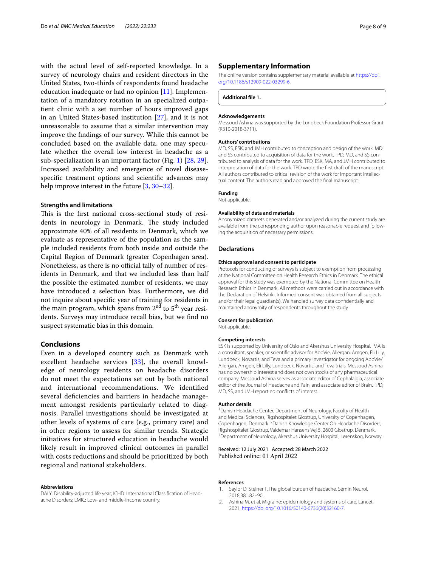with the actual level of self-reported knowledge. In a survey of neurology chairs and resident directors in the United States, two-thirds of respondents found headache education inadequate or had no opinion [\[11](#page-8-6)]. Implementation of a mandatory rotation in an specialized outpatient clinic with a set number of hours improved gaps in an United States-based institution [[27\]](#page-8-22), and it is not unreasonable to assume that a similar intervention may improve the fndings of our survey. While this cannot be concluded based on the available data, one may speculate whether the overall low interest in headache as a sub-specialization is an important factor (Fig. [1\)](#page-2-1) [[28](#page-8-23), [29](#page-8-24)]. Increased availability and emergence of novel diseasespecifc treatment options and scientifc advances may help improve interest in the future [\[3](#page-8-25), [30–](#page-8-26)[32](#page-8-27)].

#### **Strengths and limitations**

This is the first national cross-sectional study of residents in neurology in Denmark. The study included approximate 40% of all residents in Denmark, which we evaluate as representative of the population as the sample included residents from both inside and outside the Capital Region of Denmark (greater Copenhagen area). Nonetheless, as there is no official tally of number of residents in Denmark, and that we included less than half the possible the estimated number of residents, we may have introduced a selection bias. Furthermore, we did not inquire about specifc year of training for residents in the main program, which spans from  $2<sup>nd</sup>$  to  $5<sup>th</sup>$  year residents. Surveys may introduce recall bias, but we fnd no suspect systematic bias in this domain.

## **Conclusions**

Even in a developed country such as Denmark with excellent headache services [[33\]](#page-8-28), the overall knowledge of neurology residents on headache disorders do not meet the expectations set out by both national and international recommendations. We identifed several defciencies and barriers in headache management amongst residents particularly related to diagnosis. Parallel investigations should be investigated at other levels of systems of care (e.g., primary care) and in other regions to assess for similar trends. Strategic initiatives for structured education in headache would likely result in improved clinical outcomes in parallel with costs reductions and should be prioritized by both regional and national stakeholders.

#### **Abbreviations**

DALY: Disability-adjusted life year; ICHD: International Classifcation of Headache Disorders; LMIC: Low- and middle-income country.

#### **Supplementary Information**

The online version contains supplementary material available at [https://doi.](https://doi.org/10.1186/s12909-022-03299-6) [org/10.1186/s12909-022-03299-6](https://doi.org/10.1186/s12909-022-03299-6).

<span id="page-7-2"></span>**Additional fle 1.**

#### **Acknowledgements**

Messoud Ashina was supported by the Lundbeck Foundation Professor Grant (R310-2018-3711).

#### **Authors' contributions**

MD, SS, ESK, and JMH contributed to conception and design of the work. MD and SS contributed to acquisition of data for the work. TPD, MD, and SS contributed to analysis of data for the work. TPD, ESK, MA, and JMH contributed to interpretation of data for the work. TPD wrote the frst draft of the manuscript. All authors contributed to critical revision of the work for important intellectual content. The authors read and approved the fnal manuscript.

# **Funding**

Not applicable.

#### **Availability of data and materials**

Anonymized datasets generated and/or analyzed during the current study are available from the corresponding author upon reasonable request and following the acquisition of necessary permissions.

# **Declarations**

#### **Ethics approval and consent to participate**

Protocols for conducting of surveys is subject to exemption from processing at the National Committee on Health Research Ethics in Denmark. The ethical approval for this study was exempted by the National Committee on Health Research Ethics in Denmark. All methods were carried out in accordance with the Declaration of Helsinki. Informed consent was obtained from all subjects and/or their legal guardian(s). We handled survey data confdentially and maintained anonymity of respondents throughout the study.

#### **Consent for publication**

Not applicable.

#### **Competing interests**

ESK is supported by University of Oslo and Akershus University Hospital. MA is a consultant, speaker, or scientifc advisor for AbbVie, Allergan, Amgen, Eli Lilly, Lundbeck, Novartis, and Teva and a primary investigator for ongoing AbbVie/ Allergan, Amgen, Eli Lilly, Lundbeck, Novartis, and Teva trials. Messoud Ashina has no ownership interest and does not own stocks of any pharmaceutical company. Messoud Ashina serves as associate editor of Cephalalgia, associate editor of the Journal of Headache and Pain, and associate editor of Brain. TPD, MD, SS, and JMH report no conficts of interest.

# **Author details**

<sup>1</sup> Danish Headache Center, Department of Neurology, Faculty of Health and Medical Sciences, Rigshospitalet Glostrup, University of Copenhagen, Copenhagen, Denmark.<sup>2</sup> Danish Knowledge Center On Headache Disorders, Rigshospitalet Glostrup, Valdemar Hansens Vej 5, 2600 Glostrup, Denmark. 3 Department of Neurology, Akershus University Hospital, Lørenskog, Norway.

#### Received: 12 July 2021 Accepted: 28 March 2022 Published online: 01 April 2022

#### **References**

- <span id="page-7-0"></span>Saylor D, Steiner T. The global burden of headache. Semin Neurol. 2018;38:182–90.
- <span id="page-7-1"></span>2. Ashina M, et al. Migraine: epidemiology and systems of care. Lancet. 2021. [https://doi.org/10.1016/S0140-6736\(20\)32160-7.](https://doi.org/10.1016/S0140-6736(20)32160-7)